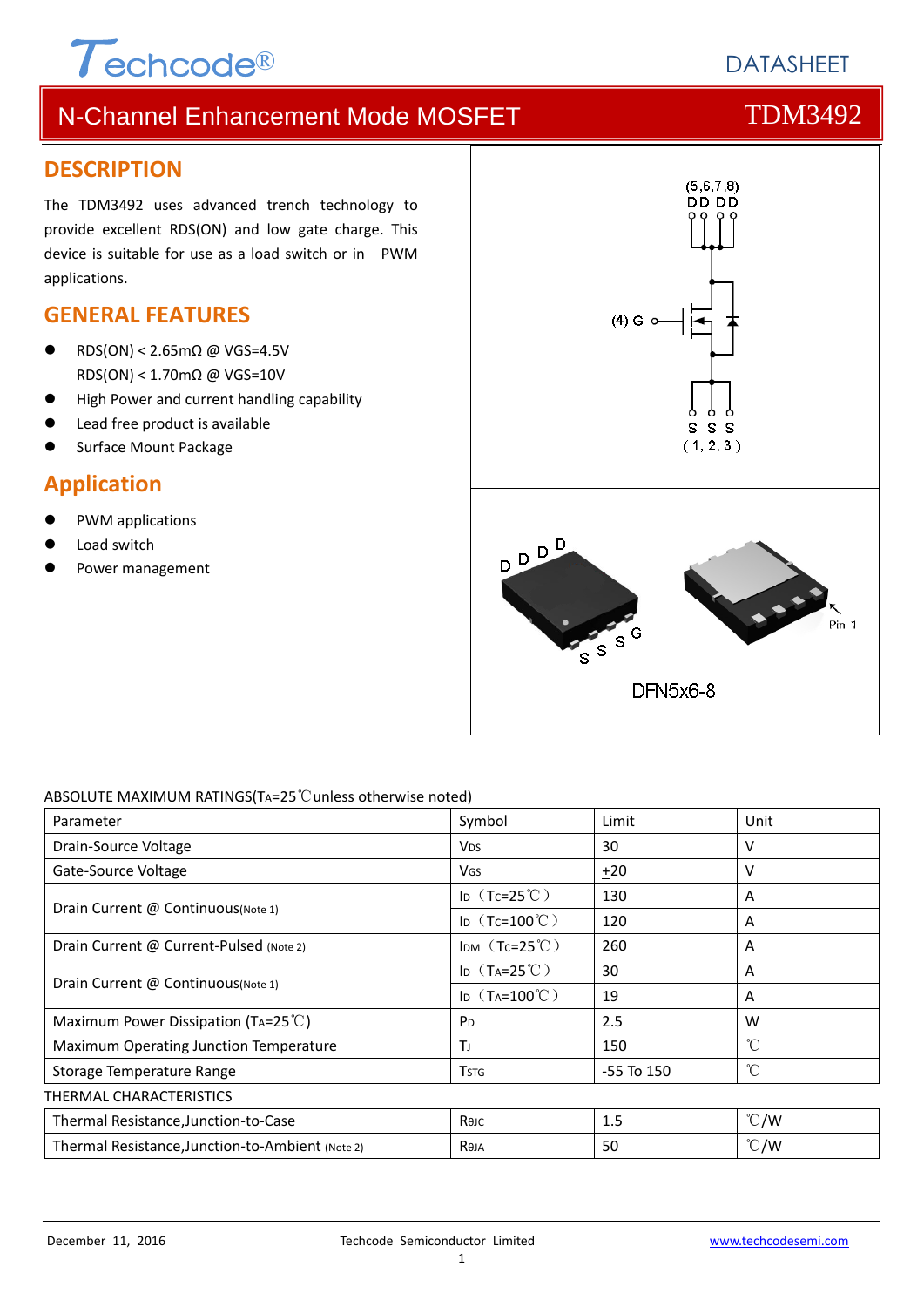# $\tau$ echcode®

# **DATASHEET**

# N-Channel Enhancement Mode MOSFET THE TDM3492

#### **DESCRIPTION**

The TDM3492 uses advanced trench technology to provide excellent RDS(ON) and low gate charge. This device is suitable for use as a load switch or in PWM applications.

#### **GENERAL FEATURES**

- RDS(ON) < 2.65mΩ @ VGS=4.5V RDS(ON) < 1.70mΩ @ VGS=10V
- High Power and current handling capability
- Lead free product is available
- Surface Mount Package

### **Application**

- PWM applications
- Load switch
- Power management



#### ABSOLUTE MAXIMUM RATINGS(TA=25℃unless otherwise noted)

| Parameter                                        | Symbol                        | Limit      | Unit          |  |  |  |
|--------------------------------------------------|-------------------------------|------------|---------------|--|--|--|
| Drain-Source Voltage                             | <b>V<sub>DS</sub></b>         | 30         | v             |  |  |  |
| Gate-Source Voltage                              | <b>VGS</b>                    | $+20$      | v             |  |  |  |
|                                                  | ID $(Tc=25^{\circ}C)$         | 130        | A             |  |  |  |
| Drain Current @ Continuous(Note 1)               | ID $(Tc=100^{\circ}C)$        | 120        | A             |  |  |  |
| Drain Current @ Current-Pulsed (Note 2)          | IDM $(Tc=25^{\circ}C)$        | 260        | A             |  |  |  |
| Drain Current @ Continuous(Note 1)               | ID $(T_A=25^{\circ}\text{C})$ | 30         | A             |  |  |  |
|                                                  | ID $(T_A=100^{\circ}C)$       | 19         | A             |  |  |  |
| Maximum Power Dissipation (TA=25 $\degree$ C)    | P <sub>D</sub>                | 2.5        | W             |  |  |  |
| Maximum Operating Junction Temperature           | Τı                            | 150        | °C            |  |  |  |
| Storage Temperature Range                        | <b>T</b> stg                  | -55 To 150 | °C            |  |  |  |
| THERMAL CHARACTERISTICS                          |                               |            |               |  |  |  |
| Thermal Resistance, Junction-to-Case             | Көлс                          | 1.5        | $\degree$ C/W |  |  |  |
| Thermal Resistance, Junction-to-Ambient (Note 2) | Reja                          | 50         | $\degree$ C/W |  |  |  |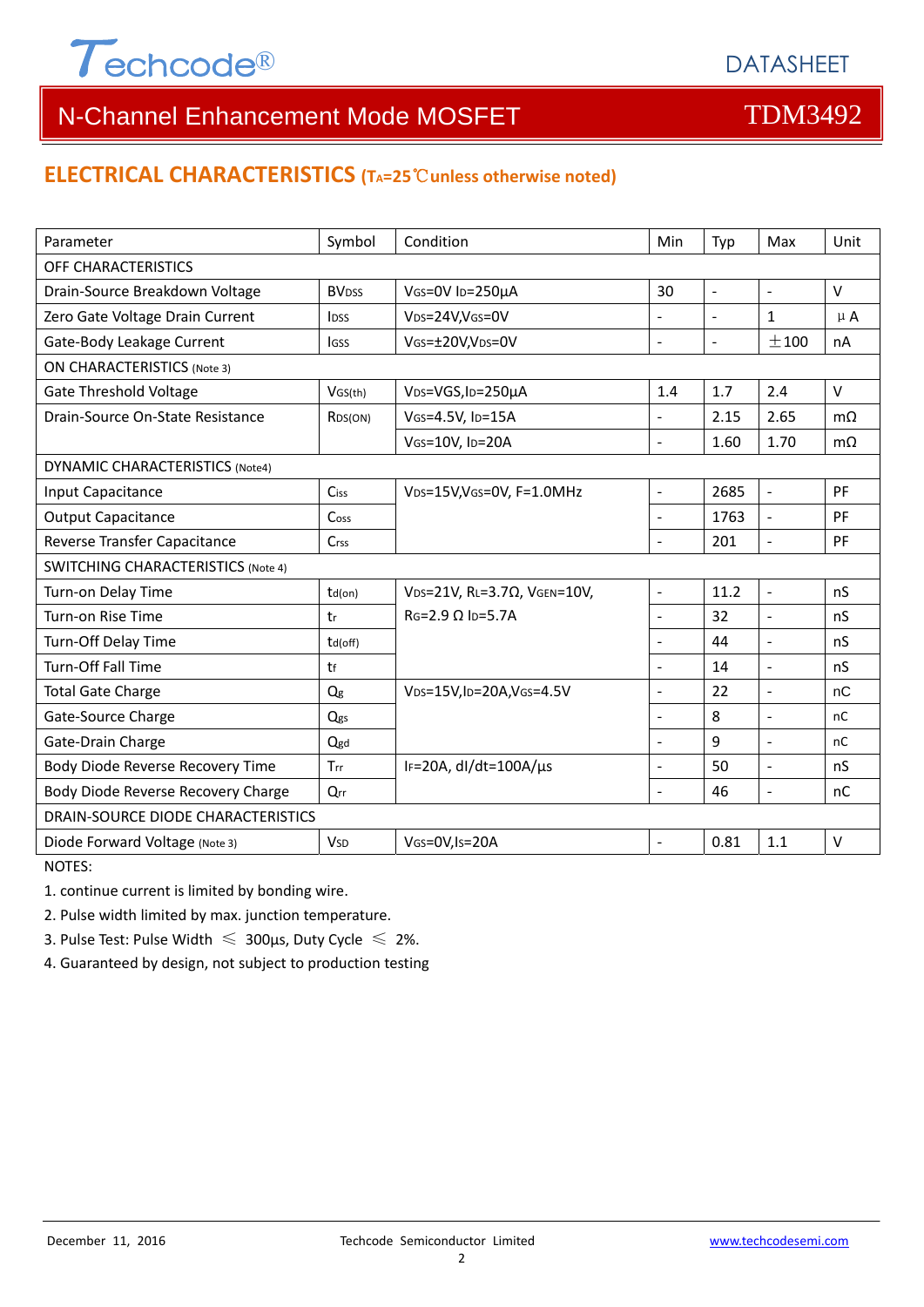

#### **ELECTRICAL CHARACTERISTICS (TA=25**℃**unless otherwise noted)**

| Parameter                                 | Symbol                   | Condition                                          | Min                      | Typ            | Max                      | Unit      |  |  |  |
|-------------------------------------------|--------------------------|----------------------------------------------------|--------------------------|----------------|--------------------------|-----------|--|--|--|
| OFF CHARACTERISTICS                       |                          |                                                    |                          |                |                          |           |  |  |  |
| Drain-Source Breakdown Voltage            | <b>BV</b> <sub>DSS</sub> | VGS=0V ID=250µA                                    | 30                       | $\blacksquare$ | $\blacksquare$           | V         |  |  |  |
| Zero Gate Voltage Drain Current           | <b>IDSS</b>              | VDS=24V, VGS=0V                                    | $\overline{\phantom{0}}$ | $\blacksquare$ | $\mathbf{1}$             | $\mu$ A   |  |  |  |
| Gate-Body Leakage Current                 | lgss                     | VGS=±20V,VDS=0V                                    | $\overline{a}$           | $\blacksquare$ | ±100                     | nA        |  |  |  |
| <b>ON CHARACTERISTICS (Note 3)</b>        |                          |                                                    |                          |                |                          |           |  |  |  |
| <b>Gate Threshold Voltage</b>             | VGS(th)                  | VDS=VGS, ID=250µA                                  | 1.4                      | 1.7            | 2.4                      | $\vee$    |  |  |  |
| Drain-Source On-State Resistance          | R <sub>DS</sub> (ON)     | VGS=4.5V, ID=15A                                   | L.                       | 2.15           | 2.65                     | $m\Omega$ |  |  |  |
|                                           |                          | VGS=10V, ID=20A                                    | L.                       | 1.60           | 1.70                     | $m\Omega$ |  |  |  |
| <b>DYNAMIC CHARACTERISTICS (Note4)</b>    |                          |                                                    |                          |                |                          |           |  |  |  |
| Input Capacitance                         | Ciss                     | V <sub>DS</sub> =15V,V <sub>GS</sub> =0V, F=1.0MHz | $\overline{\phantom{a}}$ | 2685           | $\mathbb{L}$             | PF        |  |  |  |
| <b>Output Capacitance</b>                 | Cos <sub>S</sub>         |                                                    | $\overline{a}$           | 1763           | $\blacksquare$           | PF        |  |  |  |
| Reverse Transfer Capacitance              | Crss                     |                                                    | $\blacksquare$           | 201            | $\blacksquare$           | PF        |  |  |  |
| <b>SWITCHING CHARACTERISTICS (Note 4)</b> |                          |                                                    |                          |                |                          |           |  |  |  |
| Turn-on Delay Time                        | $td($ on $)$             | VDS=21V, RL=3.7Ω, VGEN=10V,                        | $\overline{a}$           | 11.2           | $\bar{\phantom{a}}$      | nS        |  |  |  |
| Turn-on Rise Time                         | tr                       | $RG=2.9 \Omega$ Ip=5.7A                            | $\overline{a}$           | 32             | $\overline{\phantom{a}}$ | nS        |  |  |  |
| Turn-Off Delay Time                       | td(off)                  |                                                    |                          | 44             | $\overline{\phantom{a}}$ | nS        |  |  |  |
| <b>Turn-Off Fall Time</b>                 | tf                       |                                                    | $\blacksquare$           | 14             | $\sim$                   | nS        |  |  |  |
| <b>Total Gate Charge</b>                  | Qg                       | VDS=15V, ID=20A, VGS=4.5V                          | $\blacksquare$           | 22             | $\sim$                   | nC        |  |  |  |
| Gate-Source Charge                        | Qgs                      |                                                    | $\blacksquare$           | 8              | $\overline{\phantom{a}}$ | nC        |  |  |  |
| Gate-Drain Charge                         | Qgd                      |                                                    |                          | 9              | $\overline{a}$           | nC        |  |  |  |
| Body Diode Reverse Recovery Time          | Trr                      | IF=20A, $dl/dt=100A/\mu s$                         | $\overline{a}$           | 50             | $\overline{a}$           | nS        |  |  |  |
| Body Diode Reverse Recovery Charge        | Qrr                      |                                                    | L.                       | 46             | $\overline{a}$           | nC        |  |  |  |
| DRAIN-SOURCE DIODE CHARACTERISTICS        |                          |                                                    |                          |                |                          |           |  |  |  |
| Diode Forward Voltage (Note 3)            | <b>V<sub>SD</sub></b>    | VGS=0V,Is=20A                                      | $\blacksquare$           | 0.81           | 1.1                      | $\vee$    |  |  |  |

NOTES:

1. continue current is limited by bonding wire.

2. Pulse width limited by max. junction temperature.

3. Pulse Test: Pulse Width  $\leq 300$ μs, Duty Cycle  $\leq 2\%$ .

4. Guaranteed by design, not subject to production testing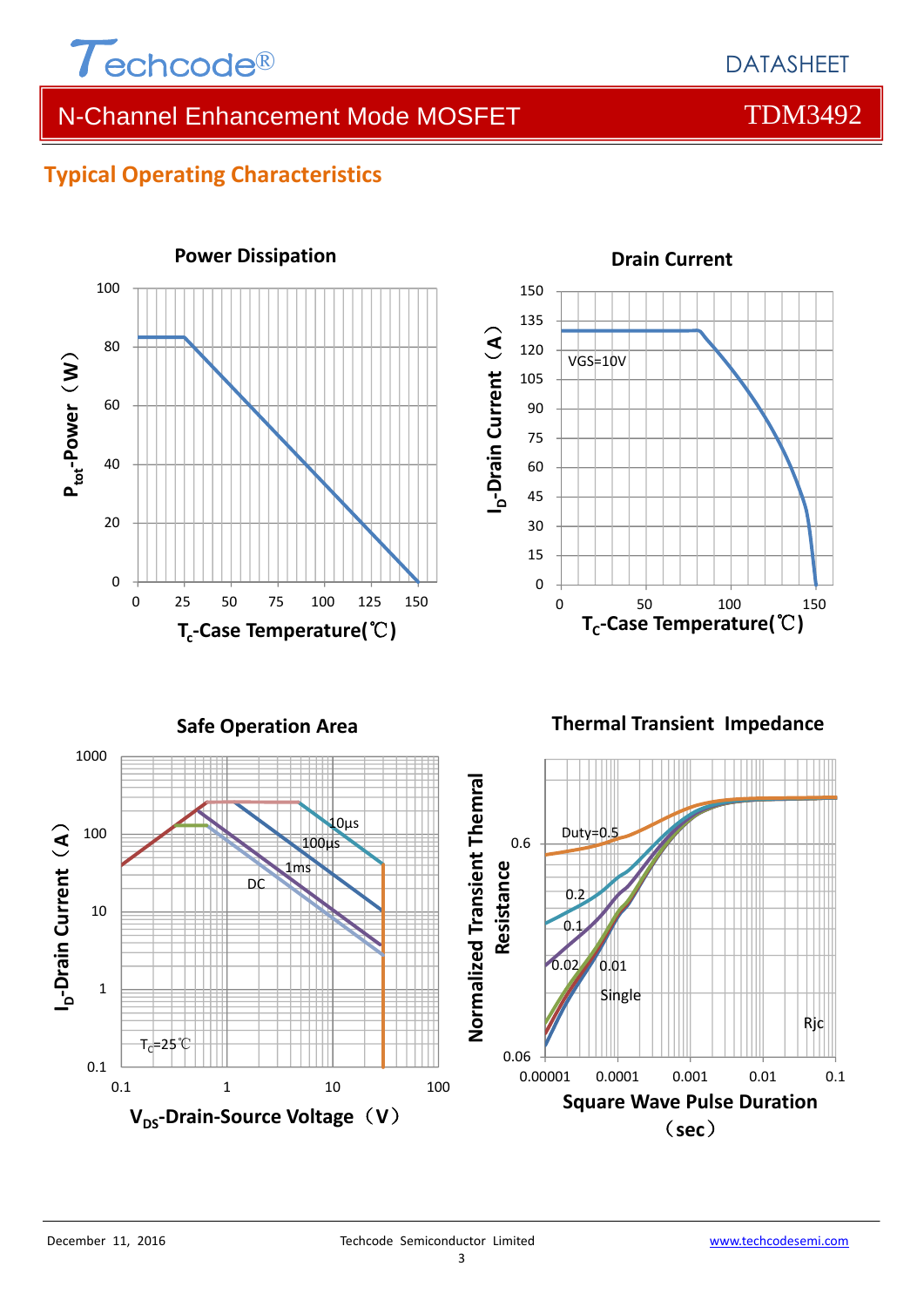

### **Typical Operating Characteristics**





#### **Drain Current**

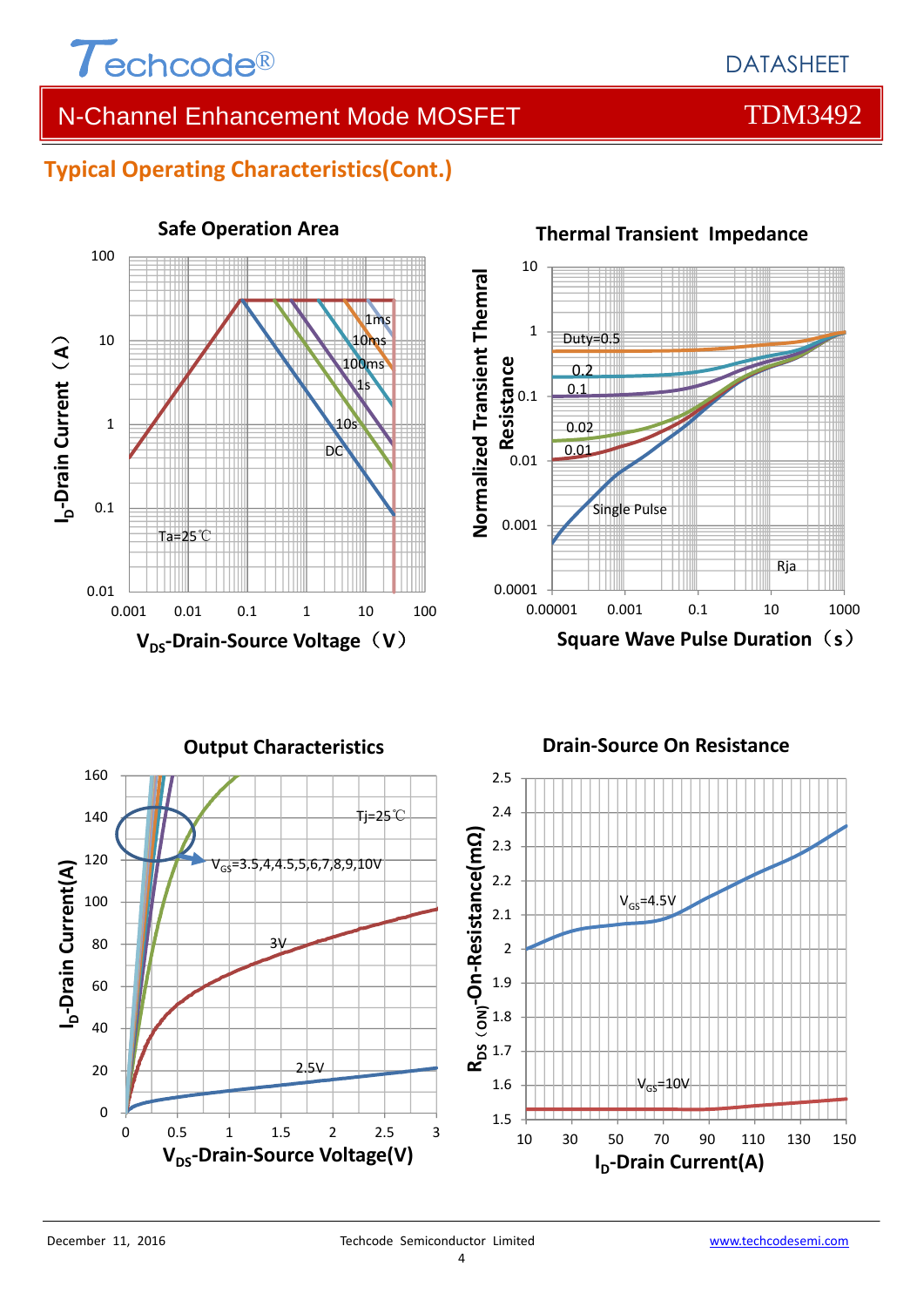

### **Typical Operating Characteristics(Cont.)**





#### **Thermal Transient Impedance**

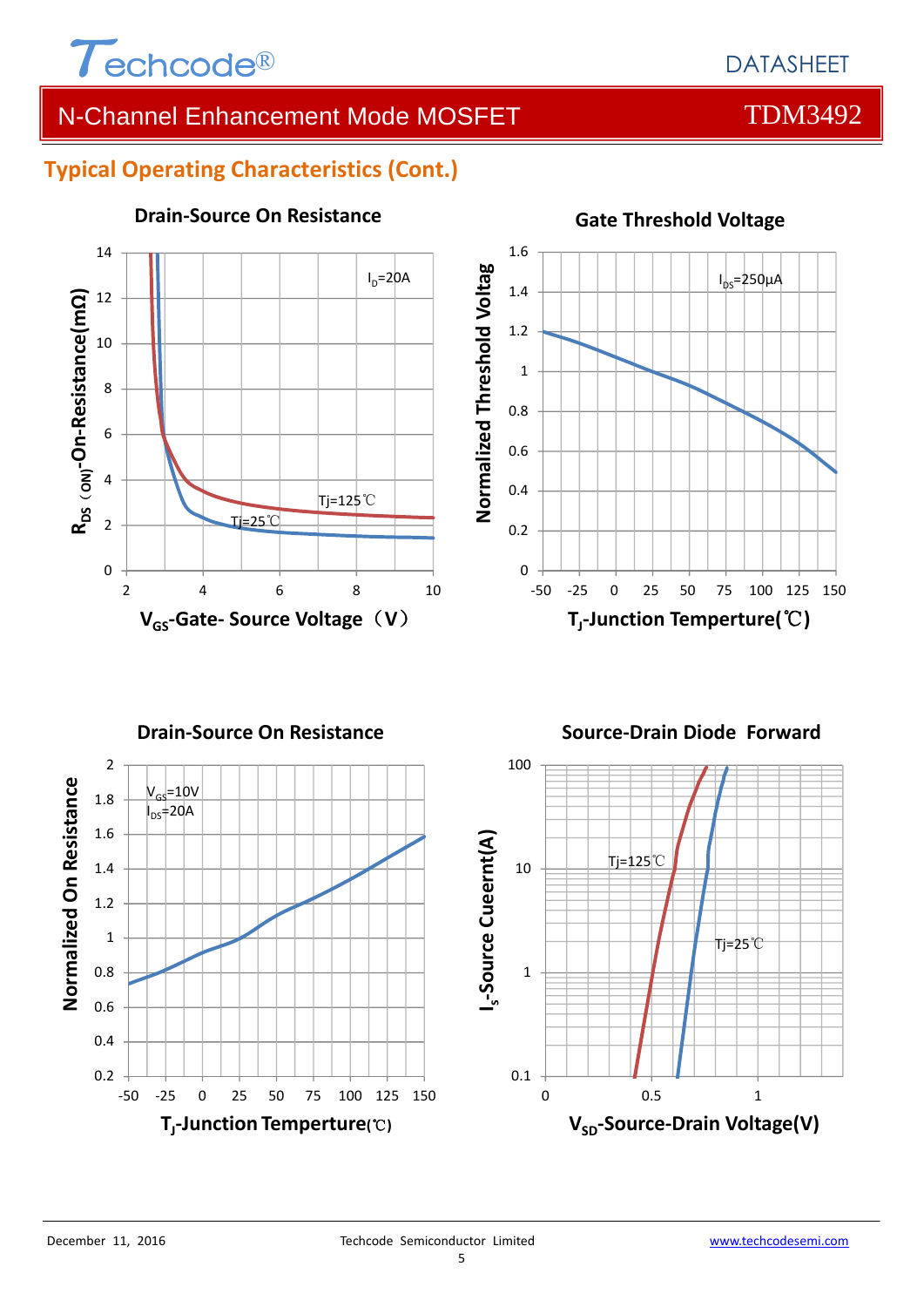

### **Typical Operating Characteristics (Cont.)**



#### **Drain‐Source On Resistance**





#### **Gate Threshold Voltage**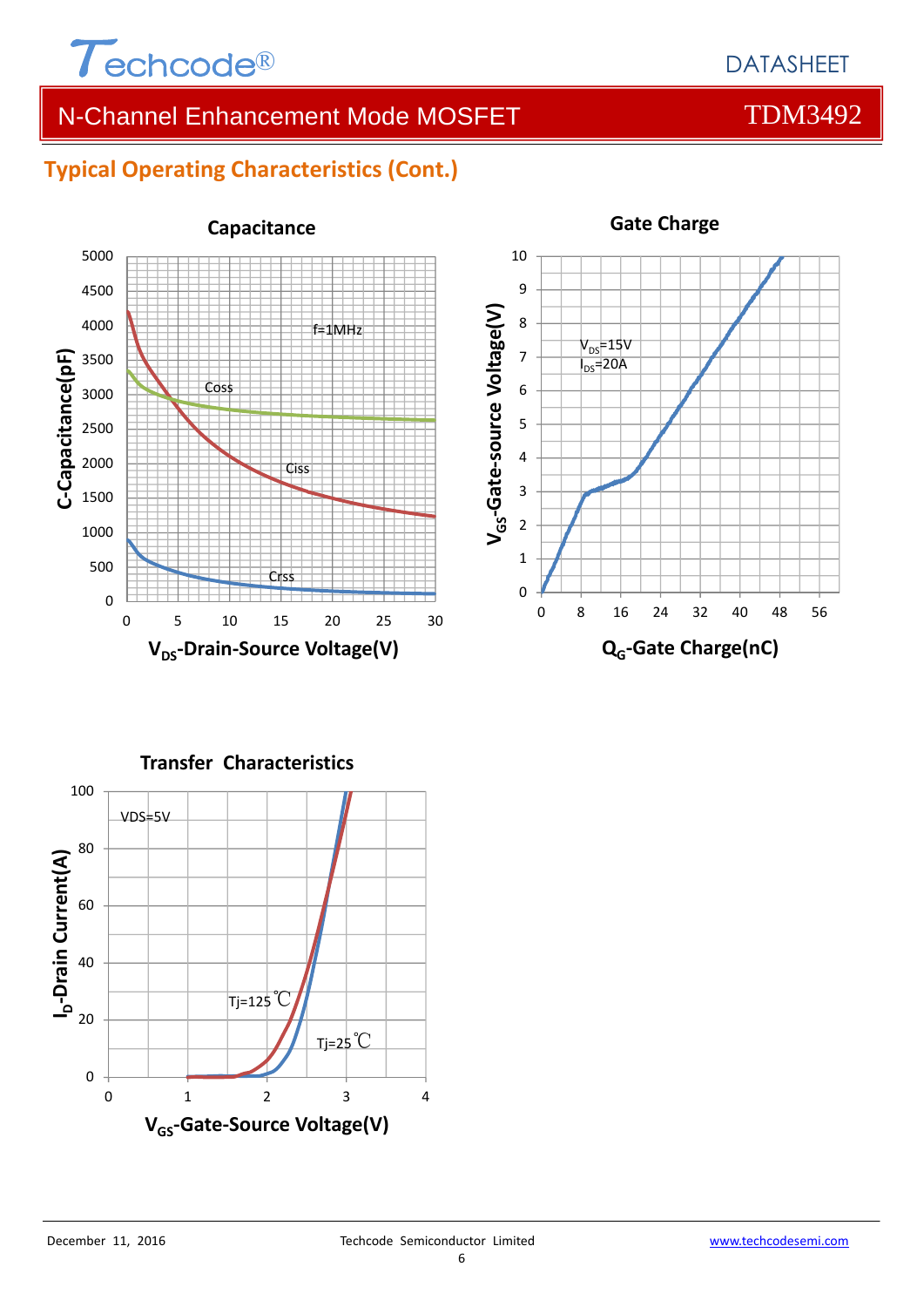

### **Typical Operating Characteristics (Cont.)**





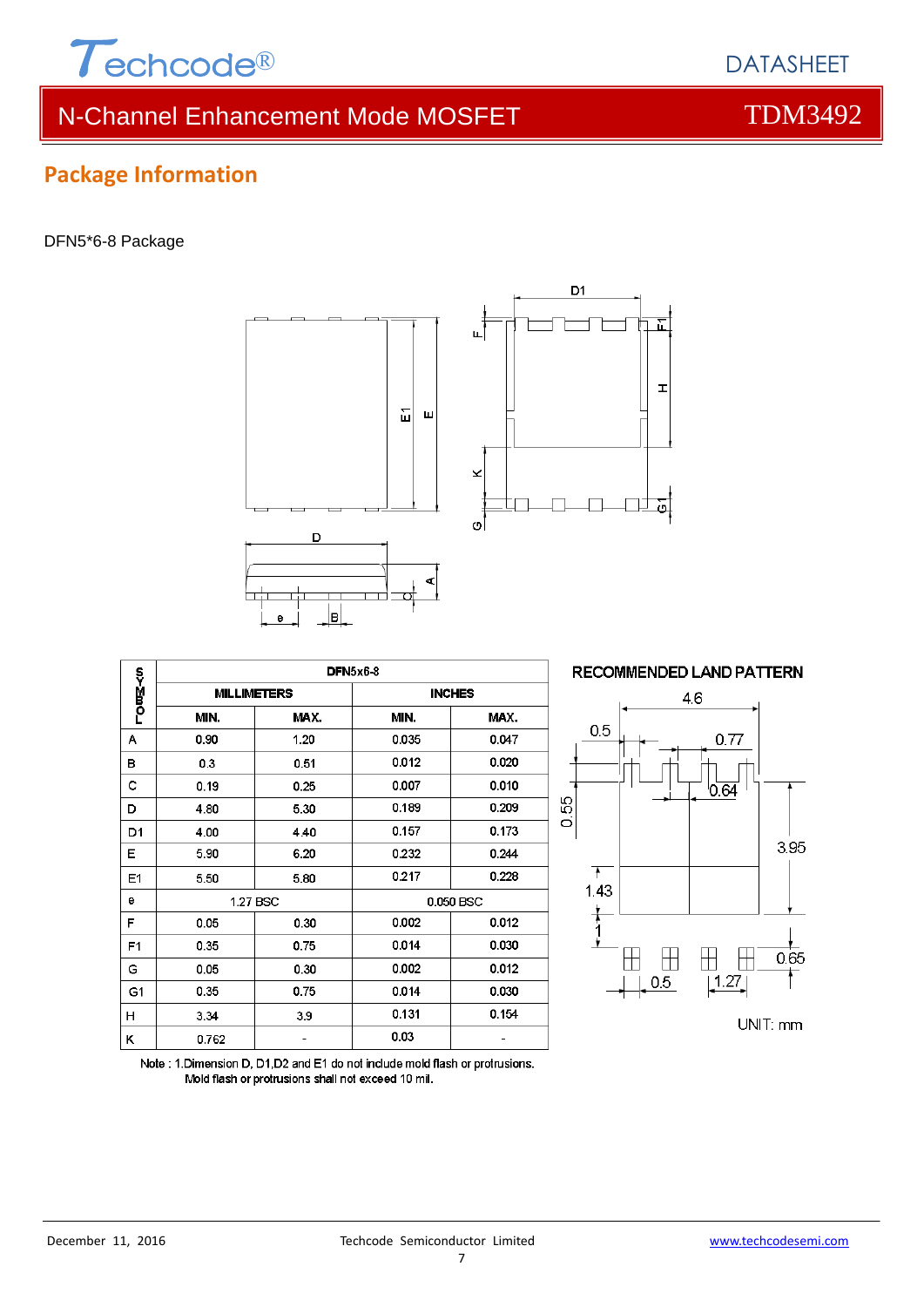





|                | DFN5x6-8 |                    |               |       |  |  |  |
|----------------|----------|--------------------|---------------|-------|--|--|--|
| −0月<0          |          | <b>MILLIMETERS</b> | <b>INCHES</b> |       |  |  |  |
|                | MIN.     | MAX.               | MIN.          | MAX.  |  |  |  |
| А              | 0.90     | 1.20               | 0.035         | 0.047 |  |  |  |
| в              | 0.3      | 0.51               | 0.012         | 0.020 |  |  |  |
| с              | 0.19     | 0.25               | 0.007         | 0.010 |  |  |  |
| D              | 4.80     | 5.30               | 0.189         | 0.209 |  |  |  |
| D1             | 4.00     | 4.40               | 0.157         | 0.173 |  |  |  |
| Е              | 5.90     | 6.20               | 0.232         | 0.244 |  |  |  |
| E1             | 5.50     | 5.80               | 0.217         | 0.228 |  |  |  |
| е              | 1.27 BSC |                    | 0.050 BSC     |       |  |  |  |
| F              | 0.05     | 0.30               | 0.002         | 0.012 |  |  |  |
| F <sub>1</sub> | 0.35     | 0.75               | 0.014         | 0.030 |  |  |  |
| G              | 0.05     | 0.30               | 0.002         | 0.012 |  |  |  |
| G1             | 0.35     | 0.75               | 0.014         | 0.030 |  |  |  |
| н              | 3.34     | 3.9                | 0.131         | 0.154 |  |  |  |
| κ              | 0.762    |                    | 0.03          |       |  |  |  |



Note: 1. Dimension D, D1, D2 and E1 do not include mold flash or protrusions. Mold flash or protrusions shall not exceed 10 mil.

7